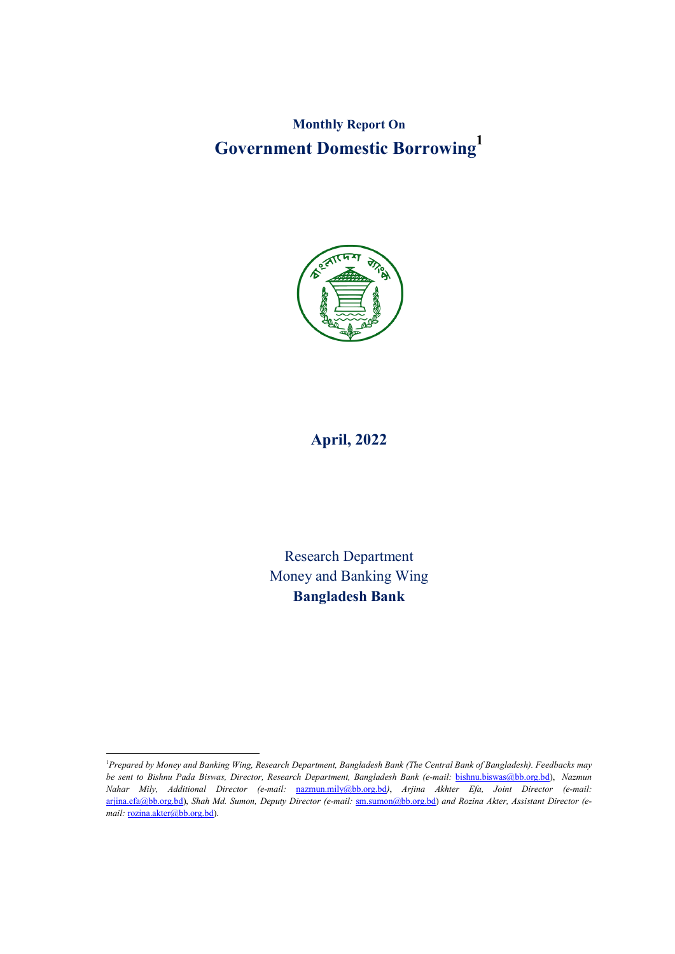**Monthly Report On Government Domestic Borrowing1**



# **April, 2022**

Research Department Money and Banking Wing **Bangladesh Bank**

 $\frac{1}{1}$ *Prepared by Money and Banking Wing, Research Department, Bangladesh Bank (The Central Bank of Bangladesh). Feedbacks may be sent to Bishnu Pada Biswas, Director, Research Department, Bangladesh Bank (e-mail:* bishnu.biswas@bb.org.bd), *Nazmun Nahar Mily, Additional Director (e-mail:* nazmun.mily@bb.org.bd*)*, *Arjina Akhter Efa, Joint Director (e-mail:* arjina.efa@bb.org.bd), *Shah Md. Sumon, Deputy Director (e-mail:* sm.sumon@bb.org.bd) *and Rozina Akter, Assistant Director (e*mail: rozina.akter@bb.org.bd).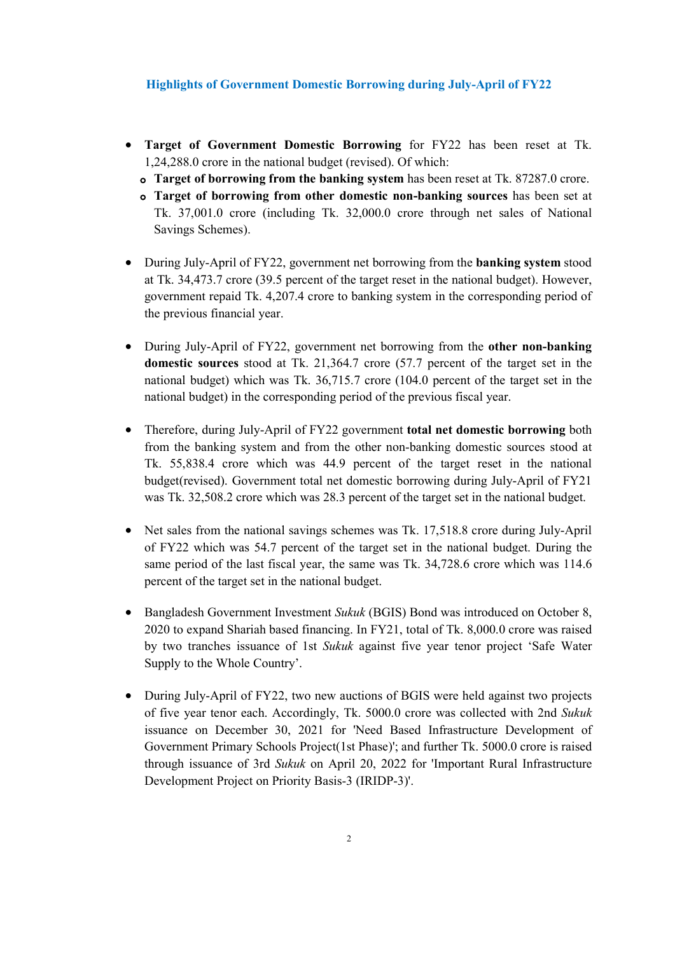## **Highlights of Government Domestic Borrowing during July-April of FY22**

- **Target of Government Domestic Borrowing** for FY22 has been reset at Tk. 1,24,288.0 crore in the national budget (revised). Of which:
	- **Target of borrowing from the banking system** has been reset at Tk. 87287.0 crore.
	- **Target of borrowing from other domestic non-banking sources** has been set at Tk. 37,001.0 crore (including Tk. 32,000.0 crore through net sales of National Savings Schemes).
- During July-April of FY22, government net borrowing from the **banking system** stood at Tk. 34,473.7 crore (39.5 percent of the target reset in the national budget). However, government repaid Tk. 4,207.4 crore to banking system in the corresponding period of the previous financial year.
- During July-April of FY22, government net borrowing from the **other non-banking domestic sources** stood at Tk. 21,364.7 crore (57.7 percent of the target set in the national budget) which was Tk. 36,715.7 crore (104.0 percent of the target set in the national budget) in the corresponding period of the previous fiscal year.
- Therefore, during July-April of FY22 government **total net domestic borrowing** both from the banking system and from the other non-banking domestic sources stood at Tk. 55,838.4 crore which was 44.9 percent of the target reset in the national budget(revised). Government total net domestic borrowing during July-April of FY21 was Tk. 32,508.2 crore which was 28.3 percent of the target set in the national budget.
- Net sales from the national savings schemes was Tk. 17,518.8 crore during July-April of FY22 which was 54.7 percent of the target set in the national budget. During the same period of the last fiscal year, the same was Tk. 34,728.6 crore which was 114.6 percent of the target set in the national budget.
- Bangladesh Government Investment *Sukuk* (BGIS) Bond was introduced on October 8, 2020 to expand Shariah based financing. In FY21, total of Tk. 8,000.0 crore was raised by two tranches issuance of 1st *Sukuk* against five year tenor project 'Safe Water Supply to the Whole Country'.
- During July-April of FY22, two new auctions of BGIS were held against two projects of five year tenor each. Accordingly, Tk. 5000.0 crore was collected with 2nd *Sukuk* issuance on December 30, 2021 for 'Need Based Infrastructure Development of Government Primary Schools Project(1st Phase)'; and further Tk. 5000.0 crore is raised through issuance of 3rd *Sukuk* on April 20, 2022 for 'Important Rural Infrastructure Development Project on Priority Basis-3 (IRIDP-3)'.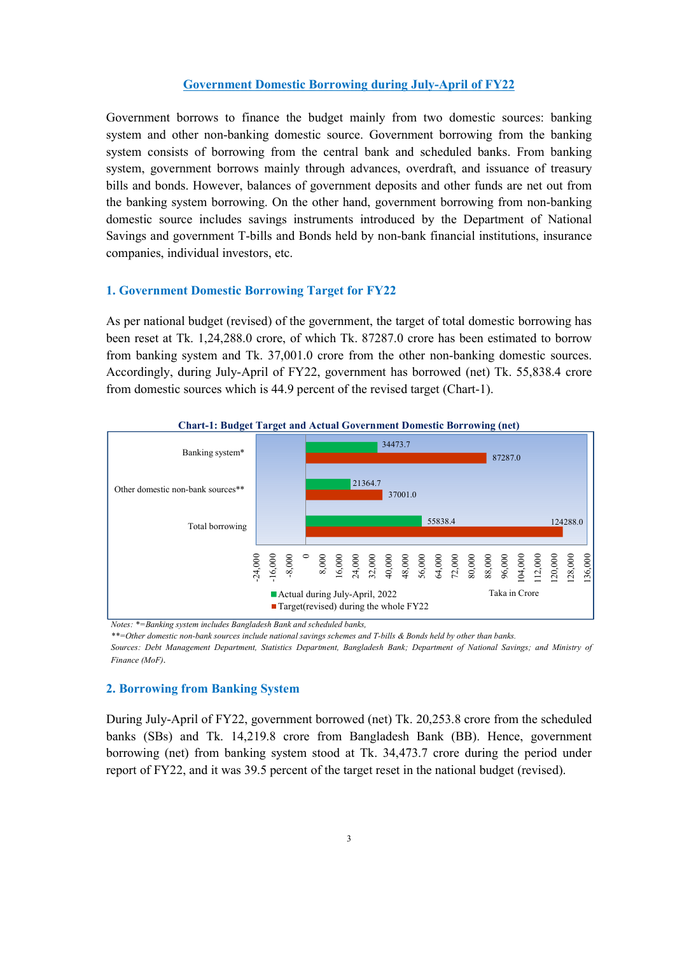### **Government Domestic Borrowing during July-April of FY22**

Government borrows to finance the budget mainly from two domestic sources: banking system and other non-banking domestic source. Government borrowing from the banking system consists of borrowing from the central bank and scheduled banks. From banking system, government borrows mainly through advances, overdraft, and issuance of treasury bills and bonds. However, balances of government deposits and other funds are net out from the banking system borrowing. On the other hand, government borrowing from non-banking domestic source includes savings instruments introduced by the Department of National Savings and government T-bills and Bonds held by non-bank financial institutions, insurance companies, individual investors, etc.

#### **1. Government Domestic Borrowing Target for FY22**

As per national budget (revised) of the government, the target of total domestic borrowing has been reset at Tk. 1,24,288.0 crore, of which Tk. 87287.0 crore has been estimated to borrow from banking system and Tk. 37,001.0 crore from the other non-banking domestic sources. Accordingly, during July-April of FY22, government has borrowed (net) Tk. 55,838.4 crore from domestic sources which is 44.9 percent of the revised target (Chart-1).



*Notes: \*=Banking system includes Bangladesh Bank and scheduled banks,* 

*\*\*=Other domestic non-bank sources include national savings schemes and T-bills & Bonds held by other than banks.* 

*Sources: Debt Management Department, Statistics Department, Bangladesh Bank; Department of National Savings; and Ministry of Finance (MoF)*.

#### **2. Borrowing from Banking System**

During July-April of FY22, government borrowed (net) Tk. 20,253.8 crore from the scheduled banks (SBs) and Tk. 14,219.8 crore from Bangladesh Bank (BB). Hence, government borrowing (net) from banking system stood at Tk. 34,473.7 crore during the period under report of FY22, and it was 39.5 percent of the target reset in the national budget (revised).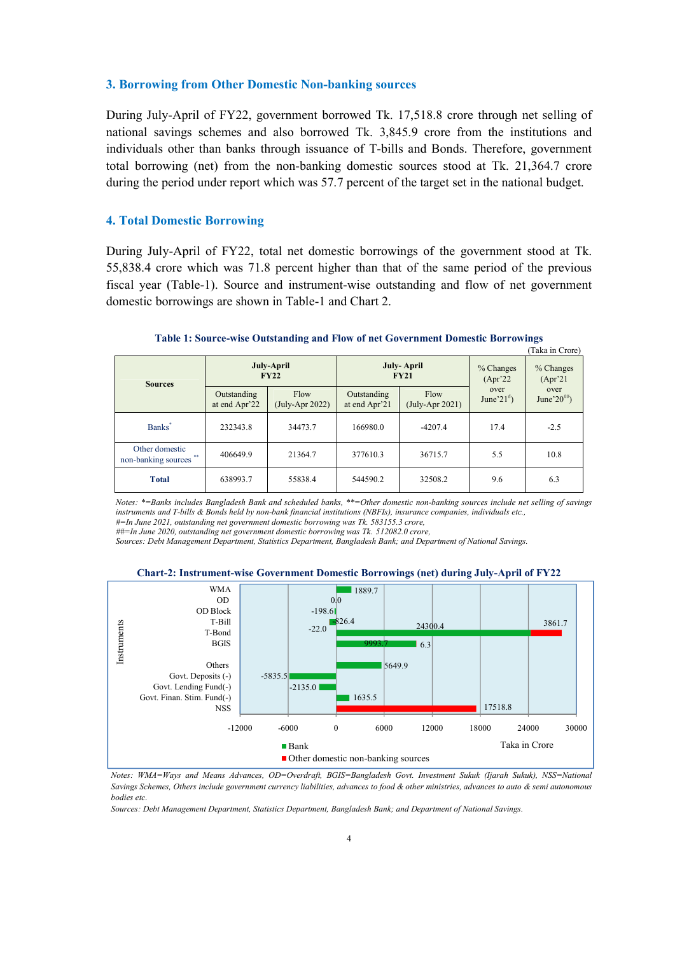#### **3. Borrowing from Other Domestic Non-banking sources**

During July-April of FY22, government borrowed Tk. 17,518.8 crore through net selling of national savings schemes and also borrowed Tk. 3,845.9 crore from the institutions and individuals other than banks through issuance of T-bills and Bonds. Therefore, government total borrowing (net) from the non-banking domestic sources stood at Tk. 21,364.7 crore during the period under report which was 57.7 percent of the target set in the national budget.

### **4. Total Domestic Borrowing**

During July-April of FY22, total net domestic borrowings of the government stood at Tk. 55,838.4 crore which was 71.8 percent higher than that of the same period of the previous fiscal year (Table-1). Source and instrument-wise outstanding and flow of net government domestic borrowings are shown in Table-1 and Chart 2.

| Tana ili Civic)                             |                              |                           |                              |                                   |                           |                            |  |
|---------------------------------------------|------------------------------|---------------------------|------------------------------|-----------------------------------|---------------------------|----------------------------|--|
| <b>Sources</b>                              | July-April<br><b>FY22</b>    |                           |                              | July-April<br><b>FY21</b>         | $%$ Changes<br>$(Apr^22)$ | % Changes<br>$(Apr^2)$     |  |
|                                             | Outstanding<br>at end Apr'22 | Flow<br>$(July-Apr 2022)$ | Outstanding<br>at end Apr'21 | Flow<br>$(\text{July-Apr } 2021)$ | over<br>June'21 $\#$ )    | over<br>June'20 $^{***}$ ) |  |
| Banks <sup>*</sup>                          | 232343.8                     | 34473.7                   | 166980.0                     | $-4207.4$                         | 17.4                      | $-2.5$                     |  |
| Other domestic<br>**<br>non-banking sources | 406649.9<br>21364.7          |                           | 377610.3                     | 36715.7                           | 5.5                       | 10.8                       |  |
| <b>Total</b>                                | 638993.7                     | 55838.4                   | 544590.2                     | 32508.2                           | 9.6                       | 6.3                        |  |

#### **Table 1: Source-wise Outstanding and Flow of net Government Domestic Borrowings** (Taka in Crore)

*Notes: \*=Banks includes Bangladesh Bank and scheduled banks, \*\*=Other domestic non-banking sources include net selling of savings instruments and T-bills & Bonds held by non-bank financial institutions (NBFIs), insurance companies, individuals etc.,* 

*#=In June 2021, outstanding net government domestic borrowing was Tk. 583155.3 crore, ##=In June 2020, outstanding net government domestic borrowing was Tk. 512082.0 crore,*

*Sources: Debt Management Department, Statistics Department, Bangladesh Bank; and Department of National Savings.*





*Notes: WMA=Ways and Means Advances, OD=Overdraft, BGIS=Bangladesh Govt. Investment Sukuk (Ijarah Sukuk), NSS=National Savings Schemes, Others include government currency liabilities, advances to food & other ministries, advances to auto & semi autonomous bodies etc.*

*Sources: Debt Management Department, Statistics Department, Bangladesh Bank; and Department of National Savings.*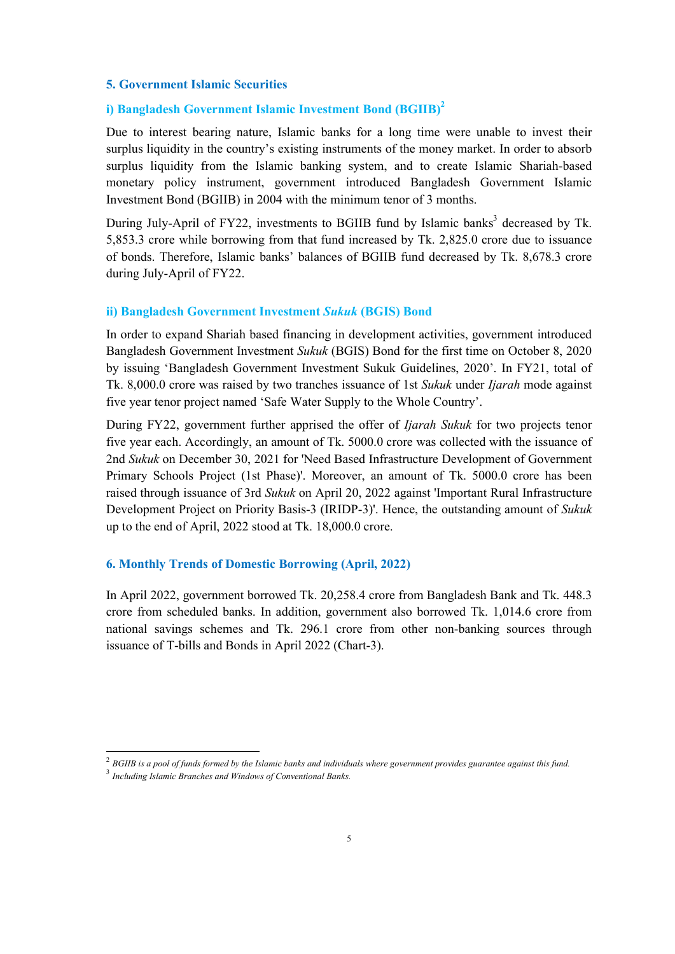#### **5. Government Islamic Securities**

# **i) Bangladesh Government Islamic Investment Bond (BGIIB) 2**

Due to interest bearing nature, Islamic banks for a long time were unable to invest their surplus liquidity in the country's existing instruments of the money market. In order to absorb surplus liquidity from the Islamic banking system, and to create Islamic Shariah-based monetary policy instrument, government introduced Bangladesh Government Islamic Investment Bond (BGIIB) in 2004 with the minimum tenor of 3 months.

During July-April of FY22, investments to BGIIB fund by Islamic banks<sup>3</sup> decreased by Tk. 5,853.3 crore while borrowing from that fund increased by Tk. 2,825.0 crore due to issuance of bonds. Therefore, Islamic banks' balances of BGIIB fund decreased by Tk. 8,678.3 crore during July-April of FY22.

#### **ii) Bangladesh Government Investment** *Sukuk* **(BGIS) Bond**

In order to expand Shariah based financing in development activities, government introduced Bangladesh Government Investment *Sukuk* (BGIS) Bond for the first time on October 8, 2020 by issuing 'Bangladesh Government Investment Sukuk Guidelines, 2020'. In FY21, total of Tk. 8,000.0 crore was raised by two tranches issuance of 1st *Sukuk* under *Ijarah* mode against five year tenor project named 'Safe Water Supply to the Whole Country'.

During FY22, government further apprised the offer of *Ijarah Sukuk* for two projects tenor five year each. Accordingly, an amount of Tk. 5000.0 crore was collected with the issuance of 2nd *Sukuk* on December 30, 2021 for 'Need Based Infrastructure Development of Government Primary Schools Project (1st Phase)'. Moreover, an amount of Tk. 5000.0 crore has been raised through issuance of 3rd *Sukuk* on April 20, 2022 against 'Important Rural Infrastructure Development Project on Priority Basis-3 (IRIDP-3)'. Hence, the outstanding amount of *Sukuk* up to the end of April, 2022 stood at Tk. 18,000.0 crore.

#### **6. Monthly Trends of Domestic Borrowing (April, 2022)**

In April 2022, government borrowed Tk. 20,258.4 crore from Bangladesh Bank and Tk. 448.3 crore from scheduled banks. In addition, government also borrowed Tk. 1,014.6 crore from national savings schemes and Tk. 296.1 crore from other non-banking sources through issuance of T-bills and Bonds in April 2022 (Chart-3).

 <sup>2</sup> *BGIIB is a pool of funds formed by the Islamic banks and individuals where government provides guarantee against this fund.*

<sup>3</sup> *Including Islamic Branches and Windows of Conventional Banks.*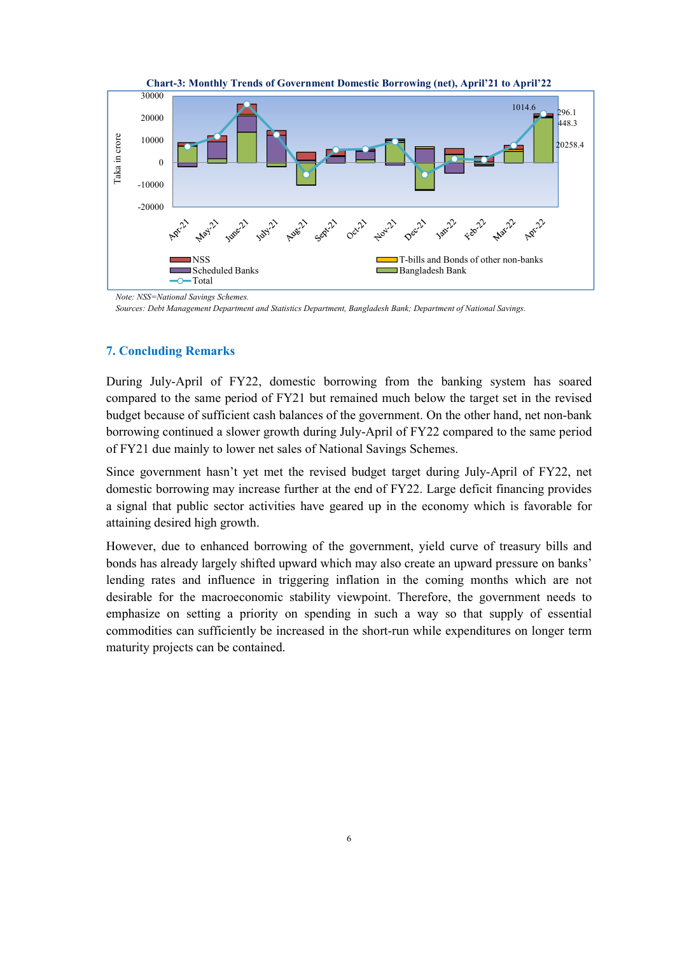

**Chart-3: Monthly Trends of Government Domestic Borrowing (net), April'21 to April'22**

*Sources: Debt Management Department and Statistics Department, Bangladesh Bank; Department of National Savings.*

#### **7. Concluding Remarks**

During July-April of FY22, domestic borrowing from the banking system has soared compared to the same period of FY21 but remained much below the target set in the revised budget because of sufficient cash balances of the government. On the other hand, net non-bank borrowing continued a slower growth during July-April of FY22 compared to the same period of FY21 due mainly to lower net sales of National Savings Schemes.

Since government hasn't yet met the revised budget target during July-April of FY22, net domestic borrowing may increase further at the end of FY22. Large deficit financing provides a signal that public sector activities have geared up in the economy which is favorable for attaining desired high growth.

However, due to enhanced borrowing of the government, yield curve of treasury bills and bonds has already largely shifted upward which may also create an upward pressure on banks' lending rates and influence in triggering inflation in the coming months which are not desirable for the macroeconomic stability viewpoint. Therefore, the government needs to emphasize on setting a priority on spending in such a way so that supply of essential commodities can sufficiently be increased in the short-run while expenditures on longer term maturity projects can be contained.

*Note: NSS=National Savings Schemes.*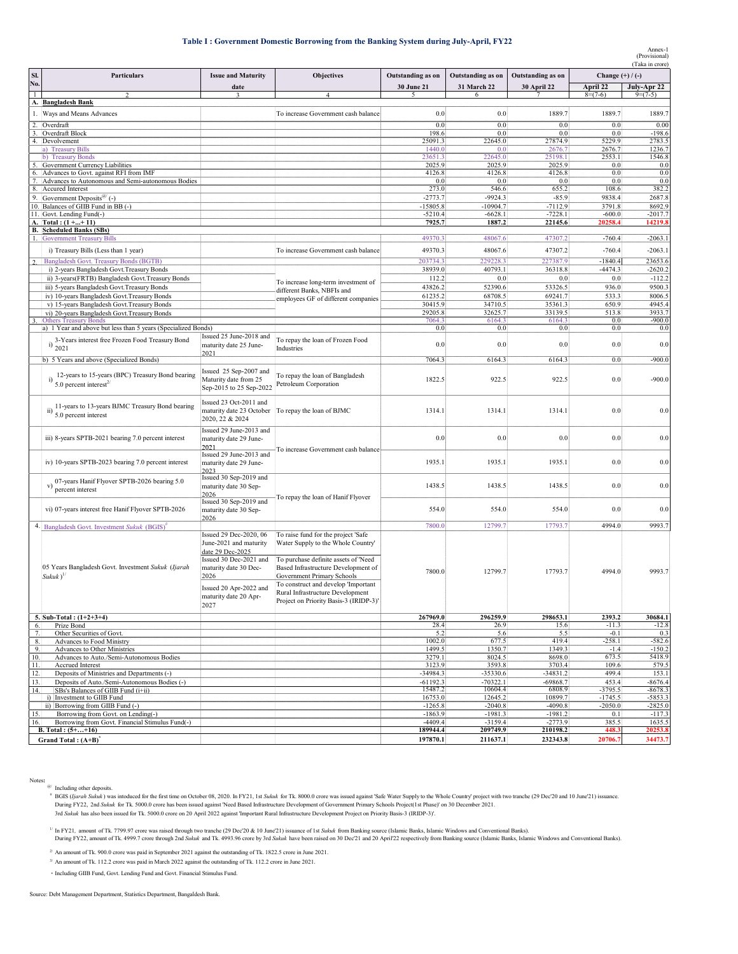#### **Table I : Government Domestic Borrowing from the Banking System during July-April, FY22**

Annex-1 (Provisional)

|                |                                                                                               |                                                 |                                                                         |                       |                       |                      |                     | (Taka in crore)        |  |  |
|----------------|-----------------------------------------------------------------------------------------------|-------------------------------------------------|-------------------------------------------------------------------------|-----------------------|-----------------------|----------------------|---------------------|------------------------|--|--|
| SI.            | <b>Particulars</b>                                                                            | <b>Issue and Maturity</b>                       | Objectives                                                              | Outstanding as on     | Outstanding as on     | Outstanding as on    | Change $(+)/(-)$    |                        |  |  |
| No.            |                                                                                               | date                                            |                                                                         | 30 June 21            | 31 March 22           | <b>30 April 22</b>   | April 22            | July-Apr 22            |  |  |
| $\mathbf{1}$   |                                                                                               |                                                 |                                                                         | $\sim$                |                       |                      | $8=(7-6)$           | $9=(7-5)$              |  |  |
|                | A. Bangladesh Bank                                                                            |                                                 |                                                                         |                       |                       |                      |                     |                        |  |  |
|                | 1. Ways and Means Advances                                                                    |                                                 | To increase Government cash balance                                     | 0.0                   | 0.0                   | 1889.7               | 1889.7              | 1889.7                 |  |  |
| 2.             | Overdraft                                                                                     |                                                 |                                                                         | 0.0                   | 0.0                   | 0.0                  | 0.0                 | 0.00                   |  |  |
| 3.             | Overdraft Block<br>4. Devolvement                                                             |                                                 |                                                                         | 198.6<br>25091.3      | 0.0<br>22645.0        | 0.0<br>27874.9       | 0.0<br>5229.9       | $-198.6$<br>2783.5     |  |  |
|                | a) Treasury Bills                                                                             |                                                 |                                                                         | 1440.0                | 0.0                   | 2676.7               | 2676.7              | 1236.7                 |  |  |
|                | b) Treasury Bonds                                                                             |                                                 |                                                                         | 23651.3               | 22645.0               | 25198.1              | 2553.1              | 1546.8                 |  |  |
|                | 5. Government Currency Liabilities                                                            |                                                 |                                                                         | 2025.9                | 2025.9                | 2025.9               | 0.0                 | 0.0                    |  |  |
| 6.<br>7.       | Advances to Govt. against RFI from IMF<br>Advances to Autonomous and Semi-autonomous Bodies   |                                                 |                                                                         | 4126.8<br>0.0         | 4126.8<br>0.0         | 4126.8<br>0.0        | 0.0<br>0.0          | 0.0<br>0.0             |  |  |
|                | 8. Accured Interest                                                                           |                                                 |                                                                         | 273.0                 | 546.6                 | 655.2                | 108.6               | 382.2                  |  |  |
|                | 9. Government Deposits <sup>@/</sup> (-)                                                      |                                                 |                                                                         | $-2773.7$             | $-9924.3$             | $-85.9$              | 9838.4              | 2687.8                 |  |  |
|                | 10. Balances of GIIB Fund in BB (-)                                                           |                                                 |                                                                         | $-15805.8$            | $-10904.7$            | $-7112.9$            | 3791.8              | 8692.9                 |  |  |
|                | 11. Govt. Lending Fund(-)<br>A. Total: (1++11)                                                |                                                 |                                                                         | $-5210.4$<br>7925.7   | $-6628.1$<br>1887.2   | $-7228.1$<br>22145.6 | $-600.0$<br>20258.4 | -2017.7<br>14219.8     |  |  |
|                | <b>B.</b> Scheduled Banks (SBs)                                                               |                                                 |                                                                         |                       |                       |                      |                     |                        |  |  |
|                | 1. Government Treasury Bills                                                                  |                                                 |                                                                         | 49370.3               | 48067.6               | 47307.2              | $-760.4$            | $-2063.1$              |  |  |
|                | i) Treasury Bills (Less than 1 year)                                                          |                                                 | To increase Government cash balance                                     | 49370.3               | 48067.6               | 47307.2              | $-760.4$            | $-2063.1$              |  |  |
| $\overline{c}$ | Bangladesh Govt. Treasury Bonds (BGTB)                                                        |                                                 |                                                                         | 203734.3              | 229228.3              | 227387.9             | $-1840.4$           | 23653.6                |  |  |
|                | i) 2-years Bangladesh Govt. Treasury Bonds                                                    |                                                 |                                                                         | 38939.0               | 40793.1               | 36318.8              | $-4474.3$           | $-2620.2$              |  |  |
|                | ii) 3-years(FRTB) Bangladesh Govt. Treasury Bonds                                             |                                                 | To increase long-term investment of                                     | 112.2                 | 0.0                   | $0.0\,$              | 0.0                 | $-112.2$               |  |  |
|                | iii) 5-years Bangladesh Govt. Treasury Bonds                                                  |                                                 | different Banks, NBFIs and                                              | 43826.2               | 52390.6               | 53326.5              | 936.0               | 9500.3                 |  |  |
|                | iv) 10-years Bangladesh Govt. Treasury Bonds                                                  |                                                 | employees GF of different companies                                     | 61235.2               | 68708.5               | 69241.7              | 533.3               | 8006.5                 |  |  |
|                | v) 15-years Bangladesh Govt. Treasury Bonds                                                   |                                                 |                                                                         | 30415.9               | 34710.5               | 35361.3              | 650.9               | 4945.4                 |  |  |
|                | vi) 20-years Bangladesh Govt. Treasury Bonds                                                  |                                                 |                                                                         | 29205.8               | 32625.7               | 33139.5              | 513.8               | 3933.7<br>$-900.0$     |  |  |
|                | <b>Others Treasury Bonds</b><br>a) 1 Year and above but less than 5 years (Specialized Bonds) |                                                 |                                                                         | 7064.3<br>0.0         | 6164.3<br>0.0         | 6164.3<br>0.0        | 0.0<br>0.0          | 0.0                    |  |  |
|                |                                                                                               | Issued 25 June-2018 and                         | To repay the loan of Frozen Food                                        |                       |                       |                      |                     |                        |  |  |
|                | i) 3-Years interest free Frozen Food Treasury Bond<br>2021                                    | maturity date 25 June-                          | Industries                                                              | 0.0                   | 0.0                   | 0.0                  | 0.0                 | 0.0                    |  |  |
|                | b) 5 Years and above (Specialized Bonds)                                                      | 2021                                            |                                                                         | 7064.3                | 6164.3                |                      | 0.0                 | $-900.0$               |  |  |
|                |                                                                                               |                                                 |                                                                         |                       |                       | 6164.3               |                     |                        |  |  |
|                | 12-years to 15-years (BPC) Treasury Bond bearing                                              | Issued 25 Sep-2007 and<br>Maturity date from 25 | To repay the loan of Bangladesh                                         | 1822.5                | 922.5                 | 922.5                | 0.0                 | $-900.0$               |  |  |
|                | $^{(1)}$ 5.0 percent interest <sup>2/</sup>                                                   | Sep-2015 to 25 Sep-2022                         | Petroleum Corporation                                                   |                       |                       |                      |                     |                        |  |  |
|                |                                                                                               |                                                 |                                                                         |                       |                       |                      |                     |                        |  |  |
|                | 11-years to 13-years BJMC Treasury Bond bearing                                               | Issued 23 Oct-2011 and                          |                                                                         |                       |                       |                      |                     |                        |  |  |
|                | ii) $\frac{11}{20}$ percent interest                                                          | maturity date 23 October                        | To repay the loan of BJMC                                               | 1314.1                | 1314.1                | 1314.1               | 0.0                 | 0.0                    |  |  |
|                |                                                                                               | 2020, 22 & 2024                                 |                                                                         |                       |                       |                      |                     |                        |  |  |
|                |                                                                                               | Issued 29 June-2013 and                         |                                                                         | 0.0                   | 0.0                   | 0.0                  | 0.0                 | 0.0                    |  |  |
|                | iii) 8-years SPTB-2021 bearing 7.0 percent interest                                           | maturity date 29 June-<br>2021                  |                                                                         |                       |                       |                      |                     |                        |  |  |
|                |                                                                                               | Issued 29 June-2013 and                         | To increase Government cash balance                                     |                       |                       |                      |                     |                        |  |  |
|                | iv) 10-years SPTB-2023 bearing 7.0 percent interest                                           | maturity date 29 June-                          |                                                                         | 1935.1                | 1935.1                | 1935.1               | 0.0                 | 0.0                    |  |  |
|                |                                                                                               | 2023                                            |                                                                         |                       |                       |                      |                     |                        |  |  |
|                | v) 07-years Hanif Flyover SPTB-2026 bearing $5.0$<br>percent interest                         | Issued 30 Sep-2019 and<br>maturity date 30 Sep- |                                                                         | 1438.5                | 1438.5                | 1438.5               | 0.0                 | 0.0                    |  |  |
|                |                                                                                               | 2026                                            |                                                                         |                       |                       |                      |                     |                        |  |  |
|                |                                                                                               | Issued 30 Sep-2019 and                          | To repay the loan of Hanif Flyover                                      |                       |                       |                      |                     |                        |  |  |
|                | vi) 07-years interest free Hanif Flyover SPTB-2026                                            | maturity date 30 Sep-                           |                                                                         | 554.0                 | 554.0                 | 554.0                | 0.0                 | 0.0                    |  |  |
|                |                                                                                               | 2026                                            |                                                                         |                       |                       |                      |                     |                        |  |  |
|                | 4. Bangladesh Govt. Investment Sukuk (BGIS) <sup>*</sup>                                      | Issued 29 Dec-2020, 06                          | To raise fund for the project 'Safe                                     | 7800.0                | 12799.7               | 17793.7              | 4994.0              | 9993.7                 |  |  |
|                |                                                                                               | June-2021 and maturity                          | Water Supply to the Whole Country'                                      |                       |                       |                      |                     |                        |  |  |
|                |                                                                                               | date 29 Dec-2025                                |                                                                         |                       |                       |                      |                     |                        |  |  |
|                |                                                                                               | Issued 30 Dec-2021 and                          | To purchase definite assets of 'Need                                    |                       |                       |                      |                     |                        |  |  |
|                | 05 Years Bangladesh Govt. Investment Sukuk (Ijarah                                            | maturity date 30 Dec-                           | Based Infrastructure Development of                                     | 7800.0                | 12799.7               | 17793.7              | 4994.0              | 9993.7                 |  |  |
|                | $Sukuk)^{1/2}$                                                                                | 2026                                            | Government Primary Schools                                              |                       |                       |                      |                     |                        |  |  |
|                |                                                                                               | Issued 20 Apr-2022 and                          | To construct and develop 'Important<br>Rural Infrastructure Development |                       |                       |                      |                     |                        |  |  |
|                |                                                                                               | maturity date 20 Apr-                           | Project on Priority Basis-3 (IRIDP-3)                                   |                       |                       |                      |                     |                        |  |  |
|                |                                                                                               | 2027                                            |                                                                         |                       |                       |                      |                     |                        |  |  |
|                | 5. Sub-Total: $(1+2+3+4)$                                                                     |                                                 |                                                                         | 267969.0              | 296259.9              | 298653.1             | 2393.2              | 30684.1                |  |  |
| 6.             | Prize Bond                                                                                    |                                                 |                                                                         | 28.4<br>5.2           | 26.9<br>5.6           | 15.6<br>5.5          | $-11.3$<br>$-0.1$   | $-12.8$<br>0.3         |  |  |
| 7.<br>8.       | Other Securities of Govt.<br>Advances to Food Ministry                                        |                                                 |                                                                         | 1002.0                | 677.5                 | 419.4                | $-258.1$            | $-582.6$               |  |  |
| 9.             | Advances to Other Ministries                                                                  |                                                 |                                                                         | 1499.5                | 1350.7                | 1349.3               | $-1.4$              | $-150.2$               |  |  |
| 10.            | Advances to Auto./Semi-Autonomous Bodies                                                      |                                                 |                                                                         | 3279.1                | 8024.5                | 8698.0               | 673.5               | 5418.9                 |  |  |
| 11.            | Accrued Interest                                                                              |                                                 |                                                                         | 3123.9                | 3593.8                | 3703.4               | 109.6               | 579.5                  |  |  |
| 12.            | Deposits of Ministries and Departments (-)                                                    |                                                 |                                                                         | -34984.3              | -35330.6              | $-34831.2$           | 499.4               | 153.1                  |  |  |
| 13.            | Deposits of Auto./Semi-Autonomous Bodies (-)                                                  |                                                 |                                                                         | $-61192.3$<br>15487.2 | $-70322.1$<br>10604.4 | $-69868.7$<br>6808.9 | 453.4<br>$-3795.5$  | $-8676.4$<br>$-8678.3$ |  |  |
| 14.            | SBs's Balances of GIIB Fund (i+ii)<br>i) Investment to GIIB Fund                              |                                                 |                                                                         | 16753.0               | 12645.2               | 10899.7              | $-1745.5$           | $-5853.3$              |  |  |
|                | ii) Borrowing from GIIB Fund (-)                                                              |                                                 |                                                                         | $-1265.8$             | $-2040.8$             | $-4090.8$            | $-2050.0$           | $-2825.0$              |  |  |
| 15.            | Borrowing from Govt. on Lending(-)                                                            |                                                 |                                                                         | $-1863.9$             | $-1981.3$             | $-1981.2$            | 0.1                 | $-117.3$               |  |  |
| 16.            | Borrowing from Govt. Financial Stimulus Fund(-)                                               |                                                 |                                                                         | $-4409.4$<br>189944.4 | $-3159.4$             | $-2773.9$            | 385.5               | 1635.5                 |  |  |
|                | B. Total: $(5 +  + 16)$<br>Grand Total: $(A+B)^T$                                             |                                                 |                                                                         | 197870.1              | 209749.9<br>211637.1  | 210198.2<br>232343.8 | 448.3<br>20706.7    | 20253.8<br>34473.7     |  |  |
|                |                                                                                               |                                                 |                                                                         |                       |                       |                      |                     |                        |  |  |

Notes:<br>
<sup>6</sup> Including other deposits.<br>
<sup>6</sup> BGIS (*ljarah Sukuk*) was intoduced for the first time on October 08, 2020. In FY21, 1st Sukuk for Tk. 8000.0 crore was issued against 'Safe Water Supply to the Whole Country' pro

If In FY21, amount of Tk. 7799.97 crore was raised through two tranche (29 Dec20 & 10 June'21) issuance of 1st Sukuk from Banking source (Islamic Banks, Islamic Windows and Conventional Banks).<br>During FY22, amount of Tk. 4

 $^{2}$  An amount of Tk. 900.0 crore was paid in September 2021 against the outstanding of Tk. 1822.5 crore in June 2021. 3/ An amount of Tk. 112.2 crore was paid in March 2022 against the outstanding of Tk. 112.2 crore in June 2021.

\* Including GIIB Fund, Govt. Lending Fund and Govt. Financial Stimulus Fund.

Source: Debt Management Department, Statistics Department, Bangaldesh Bank.